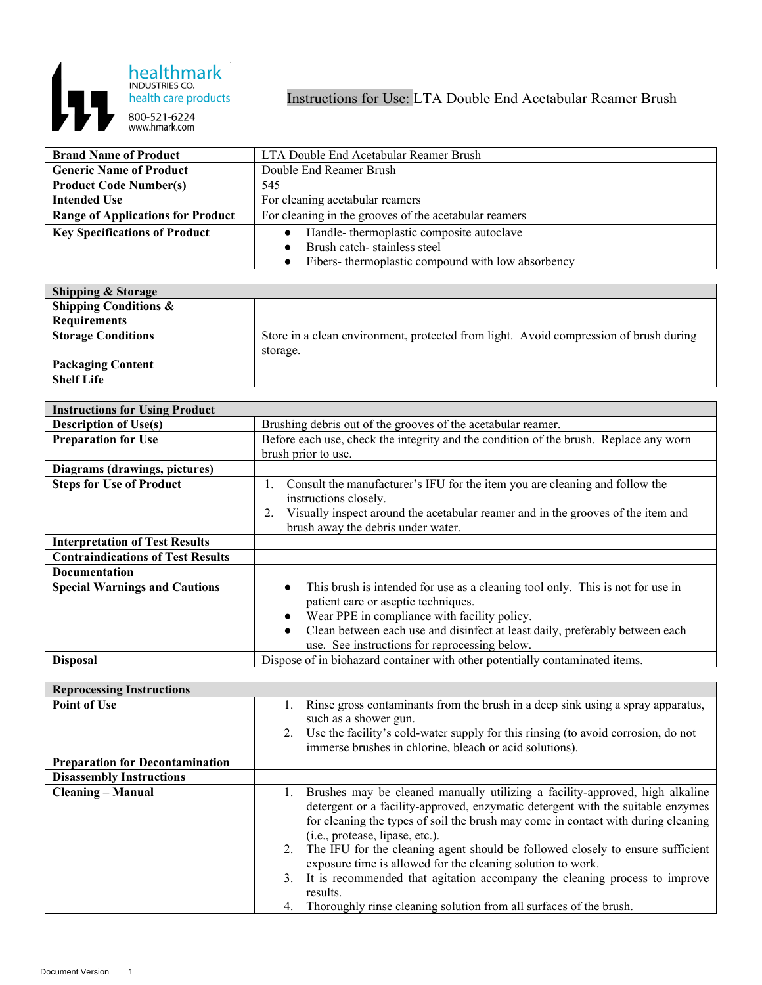

Instructions for Use: LTA Double End Acetabular Reamer Brush

| <b>Brand Name of Product</b>             | LTA Double End Acetabular Reamer Brush                |
|------------------------------------------|-------------------------------------------------------|
| <b>Generic Name of Product</b>           | Double End Reamer Brush                               |
| <b>Product Code Number(s)</b>            | 545                                                   |
| <b>Intended Use</b>                      | For cleaning acetabular reamers                       |
| <b>Range of Applications for Product</b> | For cleaning in the grooves of the acetabular reamers |
| <b>Key Specifications of Product</b>     | Handle-thermoplastic composite autoclave<br>$\bullet$ |
|                                          | Brush catch-stainless steel                           |
|                                          | Fibers- thermoplastic compound with low absorbency    |

| <b>Shipping &amp; Storage</b>    |                                                                                       |
|----------------------------------|---------------------------------------------------------------------------------------|
| <b>Shipping Conditions &amp;</b> |                                                                                       |
| <b>Requirements</b>              |                                                                                       |
| <b>Storage Conditions</b>        | Store in a clean environment, protected from light. Avoid compression of brush during |
|                                  | storage.                                                                              |
| <b>Packaging Content</b>         |                                                                                       |
| <b>Shelf Life</b>                |                                                                                       |

| <b>Instructions for Using Product</b>    |                                                                                                                                                                                                                                                                                                                                  |
|------------------------------------------|----------------------------------------------------------------------------------------------------------------------------------------------------------------------------------------------------------------------------------------------------------------------------------------------------------------------------------|
| <b>Description of Use(s)</b>             | Brushing debris out of the grooves of the acetabular reamer.                                                                                                                                                                                                                                                                     |
| <b>Preparation for Use</b>               | Before each use, check the integrity and the condition of the brush. Replace any worn                                                                                                                                                                                                                                            |
|                                          | brush prior to use.                                                                                                                                                                                                                                                                                                              |
| Diagrams (drawings, pictures)            |                                                                                                                                                                                                                                                                                                                                  |
| <b>Steps for Use of Product</b>          | Consult the manufacturer's IFU for the item you are cleaning and follow the<br>1.<br>instructions closely.                                                                                                                                                                                                                       |
|                                          | Visually inspect around the acetabular reamer and in the grooves of the item and<br>brush away the debris under water.                                                                                                                                                                                                           |
| <b>Interpretation of Test Results</b>    |                                                                                                                                                                                                                                                                                                                                  |
| <b>Contraindications of Test Results</b> |                                                                                                                                                                                                                                                                                                                                  |
| <b>Documentation</b>                     |                                                                                                                                                                                                                                                                                                                                  |
| <b>Special Warnings and Cautions</b>     | This brush is intended for use as a cleaning tool only. This is not for use in<br>$\bullet$<br>patient care or aseptic techniques.<br>Wear PPE in compliance with facility policy.<br>Clean between each use and disinfect at least daily, preferably between each<br>$\bullet$<br>use. See instructions for reprocessing below. |
| <b>Disposal</b>                          | Dispose of in biohazard container with other potentially contaminated items.                                                                                                                                                                                                                                                     |

| <b>Reprocessing Instructions</b>       |                                                                                                                                                                                                                                                                                         |
|----------------------------------------|-----------------------------------------------------------------------------------------------------------------------------------------------------------------------------------------------------------------------------------------------------------------------------------------|
| <b>Point of Use</b>                    | Rinse gross contaminants from the brush in a deep sink using a spray apparatus,<br>such as a shower gun.<br>Use the facility's cold-water supply for this rinsing (to avoid corrosion, do not<br>immerse brushes in chlorine, bleach or acid solutions).                                |
| <b>Preparation for Decontamination</b> |                                                                                                                                                                                                                                                                                         |
|                                        |                                                                                                                                                                                                                                                                                         |
| <b>Disassembly Instructions</b>        |                                                                                                                                                                                                                                                                                         |
| <b>Cleaning - Manual</b>               | Brushes may be cleaned manually utilizing a facility-approved, high alkaline<br>detergent or a facility-approved, enzymatic detergent with the suitable enzymes<br>for cleaning the types of soil the brush may come in contact with during cleaning<br>(i.e., protease, lipase, etc.). |
|                                        | The IFU for the cleaning agent should be followed closely to ensure sufficient<br>2.<br>exposure time is allowed for the cleaning solution to work.                                                                                                                                     |
|                                        | It is recommended that agitation accompany the cleaning process to improve<br>3.<br>results.                                                                                                                                                                                            |
|                                        | Thoroughly rinse cleaning solution from all surfaces of the brush.                                                                                                                                                                                                                      |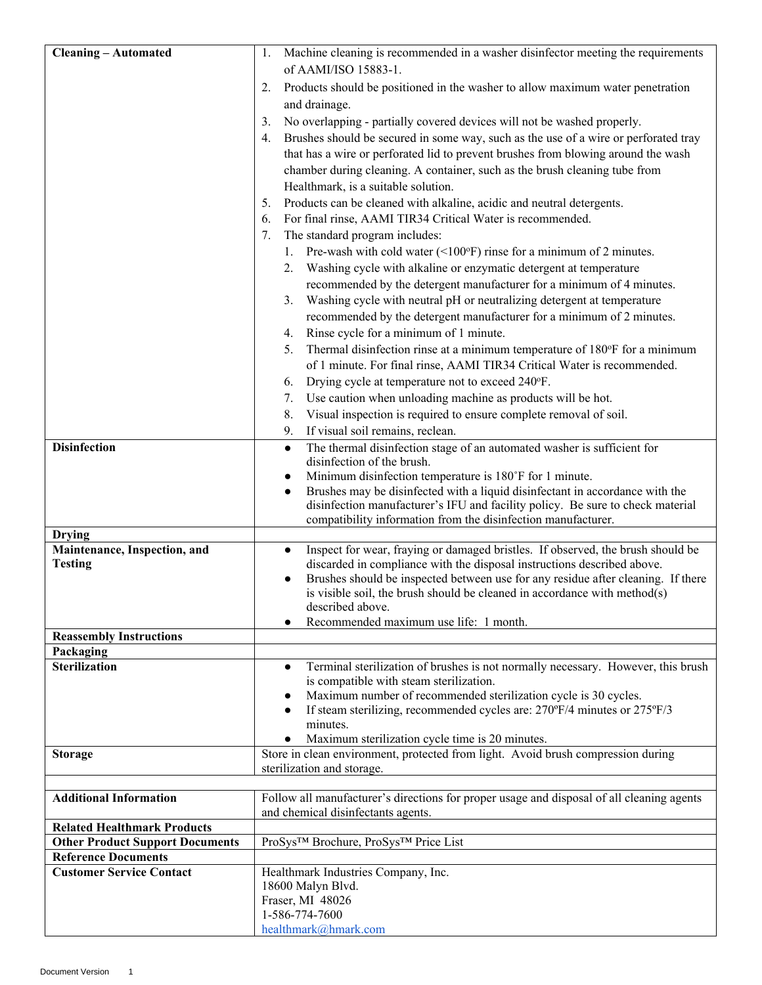| <b>Cleaning - Automated</b>                                   | Machine cleaning is recommended in a washer disinfector meeting the requirements<br>1.                                                                                     |
|---------------------------------------------------------------|----------------------------------------------------------------------------------------------------------------------------------------------------------------------------|
|                                                               | of AAMI/ISO 15883-1.                                                                                                                                                       |
|                                                               | Products should be positioned in the washer to allow maximum water penetration<br>2.                                                                                       |
|                                                               | and drainage.                                                                                                                                                              |
|                                                               | No overlapping - partially covered devices will not be washed properly.<br>3.                                                                                              |
|                                                               | Brushes should be secured in some way, such as the use of a wire or perforated tray<br>4.                                                                                  |
|                                                               | that has a wire or perforated lid to prevent brushes from blowing around the wash                                                                                          |
|                                                               | chamber during cleaning. A container, such as the brush cleaning tube from                                                                                                 |
|                                                               | Healthmark, is a suitable solution.                                                                                                                                        |
|                                                               | Products can be cleaned with alkaline, acidic and neutral detergents.<br>5.                                                                                                |
|                                                               | For final rinse, AAMI TIR34 Critical Water is recommended.<br>6.                                                                                                           |
|                                                               | The standard program includes:<br>7.                                                                                                                                       |
|                                                               | 1. Pre-wash with cold water $(\leq 100^\circ F)$ rinse for a minimum of 2 minutes.                                                                                         |
|                                                               | 2. Washing cycle with alkaline or enzymatic detergent at temperature                                                                                                       |
|                                                               | recommended by the detergent manufacturer for a minimum of 4 minutes.                                                                                                      |
|                                                               | Washing cycle with neutral pH or neutralizing detergent at temperature<br>3.                                                                                               |
|                                                               | recommended by the detergent manufacturer for a minimum of 2 minutes.                                                                                                      |
|                                                               | Rinse cycle for a minimum of 1 minute.                                                                                                                                     |
|                                                               | 4.<br>Thermal disinfection rinse at a minimum temperature of 180°F for a minimum                                                                                           |
|                                                               | 5.<br>of 1 minute. For final rinse, AAMI TIR34 Critical Water is recommended.                                                                                              |
|                                                               | Drying cycle at temperature not to exceed 240°F.<br>6.                                                                                                                     |
|                                                               | Use caution when unloading machine as products will be hot.                                                                                                                |
|                                                               | 7.<br>Visual inspection is required to ensure complete removal of soil.                                                                                                    |
|                                                               | 8.<br>If visual soil remains, reclean.<br>9.                                                                                                                               |
| <b>Disinfection</b>                                           |                                                                                                                                                                            |
|                                                               | The thermal disinfection stage of an automated washer is sufficient for<br>$\bullet$<br>disinfection of the brush.                                                         |
|                                                               | Minimum disinfection temperature is 180°F for 1 minute.                                                                                                                    |
|                                                               | Brushes may be disinfected with a liquid disinfectant in accordance with the<br>$\bullet$                                                                                  |
|                                                               | disinfection manufacturer's IFU and facility policy. Be sure to check material                                                                                             |
|                                                               | compatibility information from the disinfection manufacturer.                                                                                                              |
| <b>Drying</b>                                                 |                                                                                                                                                                            |
| Maintenance, Inspection, and                                  | Inspect for wear, fraying or damaged bristles. If observed, the brush should be                                                                                            |
| <b>Testing</b>                                                | discarded in compliance with the disposal instructions described above.                                                                                                    |
|                                                               | Brushes should be inspected between use for any residue after cleaning. If there<br>$\bullet$<br>is visible soil, the brush should be cleaned in accordance with method(s) |
|                                                               | described above.                                                                                                                                                           |
|                                                               | Recommended maximum use life: 1 month.                                                                                                                                     |
| <b>Reassembly Instructions</b>                                |                                                                                                                                                                            |
| Packaging                                                     |                                                                                                                                                                            |
| <b>Sterilization</b>                                          | Terminal sterilization of brushes is not normally necessary. However, this brush<br>$\bullet$                                                                              |
|                                                               | is compatible with steam sterilization.                                                                                                                                    |
|                                                               | Maximum number of recommended sterilization cycle is 30 cycles.<br>If steam sterilizing, recommended cycles are: 270°F/4 minutes or 275°F/3                                |
|                                                               | minutes.                                                                                                                                                                   |
|                                                               | Maximum sterilization cycle time is 20 minutes.                                                                                                                            |
| <b>Storage</b>                                                | Store in clean environment, protected from light. Avoid brush compression during                                                                                           |
|                                                               | sterilization and storage.                                                                                                                                                 |
|                                                               |                                                                                                                                                                            |
| <b>Additional Information</b>                                 | Follow all manufacturer's directions for proper usage and disposal of all cleaning agents                                                                                  |
|                                                               | and chemical disinfectants agents.                                                                                                                                         |
| <b>Related Healthmark Products</b>                            |                                                                                                                                                                            |
| <b>Other Product Support Documents</b>                        | ProSys™ Brochure, ProSys™ Price List                                                                                                                                       |
| <b>Reference Documents</b><br><b>Customer Service Contact</b> |                                                                                                                                                                            |
|                                                               | Healthmark Industries Company, Inc.<br>18600 Malyn Blvd.                                                                                                                   |
|                                                               | Fraser, MI 48026                                                                                                                                                           |
|                                                               | 1-586-774-7600                                                                                                                                                             |
|                                                               | healthmark@hmark.com                                                                                                                                                       |